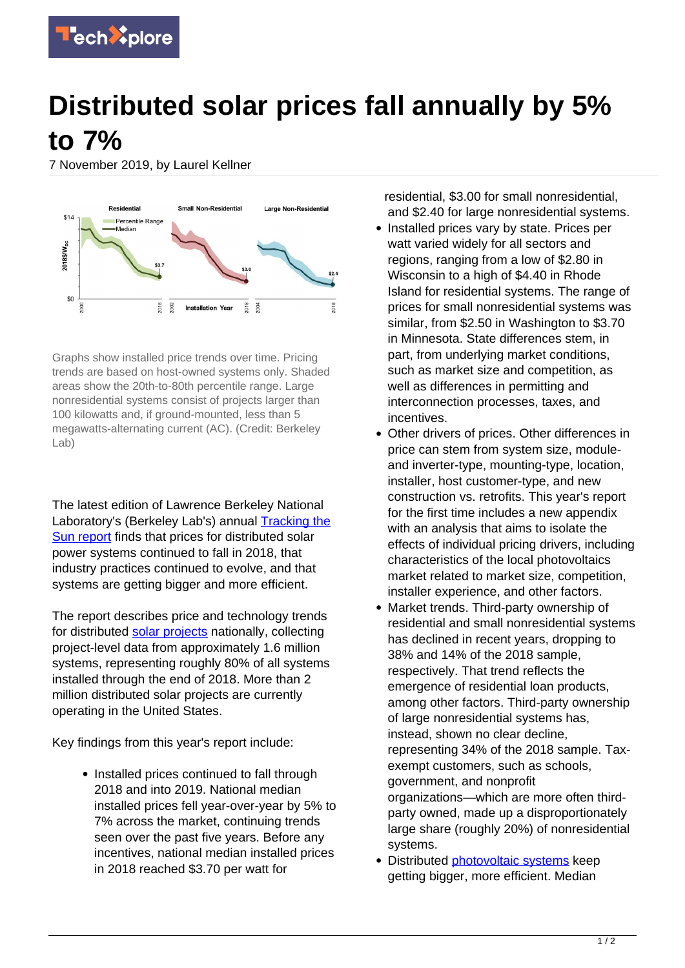

## **Distributed solar prices fall annually by 5% to 7%**

7 November 2019, by Laurel Kellner



Graphs show installed price trends over time. Pricing trends are based on host-owned systems only. Shaded areas show the 20th-to-80th percentile range. Large nonresidential systems consist of projects larger than 100 kilowatts and, if ground-mounted, less than 5 megawatts-alternating current (AC). (Credit: Berkeley Lab)

The latest edition of Lawrence Berkeley National Laboratory's (Berkeley Lab's) annual **[Tracking the](http://emp.lbl.gov/tracking-the-sun/)** [Sun report](http://emp.lbl.gov/tracking-the-sun/) finds that prices for distributed solar power systems continued to fall in 2018, that industry practices continued to evolve, and that systems are getting bigger and more efficient.

The report describes price and technology trends for distributed [solar projects](https://techxplore.com/tags/solar+projects/) nationally, collecting project-level data from approximately 1.6 million systems, representing roughly 80% of all systems installed through the end of 2018. More than 2 million distributed solar projects are currently operating in the United States.

Key findings from this year's report include:

• Installed prices continued to fall through 2018 and into 2019. National median installed prices fell year-over-year by 5% to 7% across the market, continuing trends seen over the past five years. Before any incentives, national median installed prices in 2018 reached \$3.70 per watt for

residential, \$3.00 for small nonresidential, and \$2.40 for large nonresidential systems.

- Installed prices vary by state. Prices per watt varied widely for all sectors and regions, ranging from a low of \$2.80 in Wisconsin to a high of \$4.40 in Rhode Island for residential systems. The range of prices for small nonresidential systems was similar, from \$2.50 in Washington to \$3.70 in Minnesota. State differences stem, in part, from underlying market conditions, such as market size and competition, as well as differences in permitting and interconnection processes, taxes, and incentives.
- Other drivers of prices. Other differences in price can stem from system size, moduleand inverter-type, mounting-type, location, installer, host customer-type, and new construction vs. retrofits. This year's report for the first time includes a new appendix with an analysis that aims to isolate the effects of individual pricing drivers, including characteristics of the local photovoltaics market related to market size, competition, installer experience, and other factors.
- Market trends. Third-party ownership of residential and small nonresidential systems has declined in recent years, dropping to 38% and 14% of the 2018 sample, respectively. That trend reflects the emergence of residential loan products, among other factors. Third-party ownership of large nonresidential systems has, instead, shown no clear decline, representing 34% of the 2018 sample. Taxexempt customers, such as schools, government, and nonprofit organizations—which are more often thirdparty owned, made up a disproportionately large share (roughly 20%) of nonresidential systems.
- Distributed [photovoltaic systems](https://techxplore.com/tags/photovoltaic+systems/) keep getting bigger, more efficient. Median